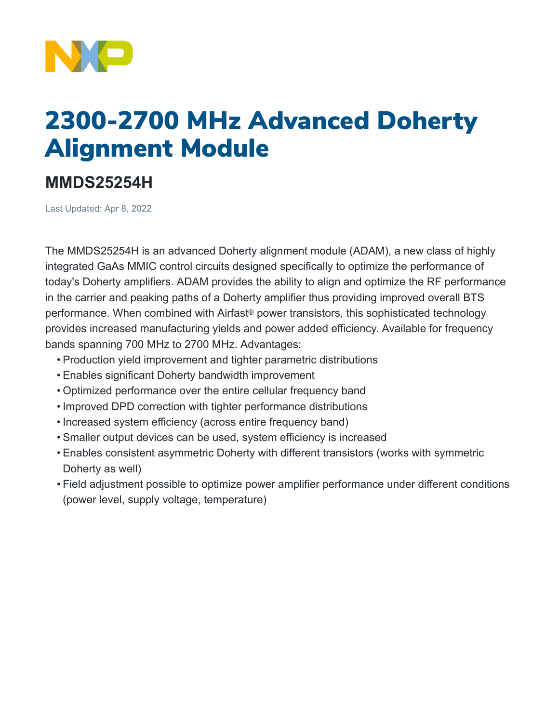

## 2300-2700 MHz Advanced Doherty Alignment Module

## **MMDS25254H**

Last Updated: Apr 8, 2022

The MMDS25254H is an advanced Doherty alignment module (ADAM), a new class of highly integrated GaAs MMIC control circuits designed specifically to optimize the performance of today's Doherty amplifiers. ADAM provides the ability to align and optimize the RF performance in the carrier and peaking paths of a Doherty amplifier thus providing improved overall BTS performance. When combined with Airfast® power transistors, this sophisticated technology provides increased manufacturing yields and power added efficiency. Available for frequency bands spanning 700 MHz to 2700 MHz. Advantages:

- Production yield improvement and tighter parametric distributions
- Enables significant Doherty bandwidth improvement
- Optimized performance over the entire cellular frequency band
- Improved DPD correction with tighter performance distributions
- Increased system efficiency (across entire frequency band)
- Smaller output devices can be used, system efficiency is increased
- Enables consistent asymmetric Doherty with different transistors (works with symmetric Doherty as well)
- Field adjustment possible to optimize power amplifier performance under different conditions (power level, supply voltage, temperature)